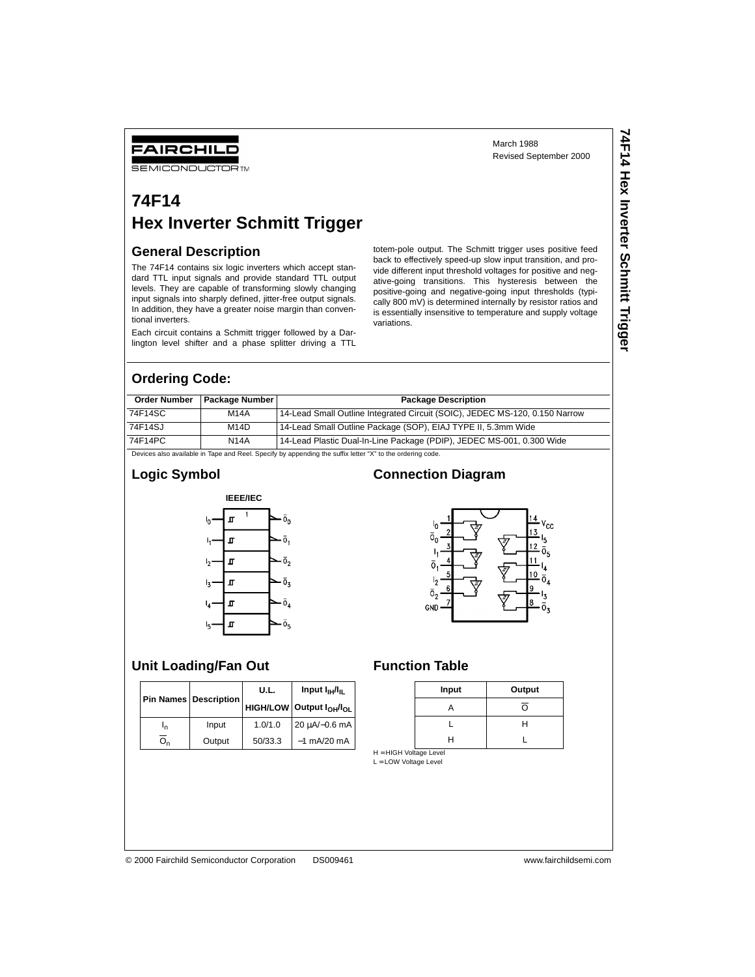# Revised September 2000

**74F14 Hex Inverter Schmitt Trigger**

**74F14 Hex Inverter Schmitt Trigger** 

#### FAIRCHILD

**SEMICONDUCTOR TM** 

### **74F14 Hex Inverter Schmitt Trigger**

#### **General Description**

The 74F14 contains six logic inverters which accept standard TTL input signals and provide standard TTL output levels. They are capable of transforming slowly changing input signals into sharply defined, jitter-free output signals. In addition, they have a greater noise margin than conventional inverters.

Each circuit contains a Schmitt trigger followed by a Darlington level shifter and a phase splitter driving a TTL

totem-pole output. The Schmitt trigger uses positive feed back to effectively speed-up slow input transition, and provide different input threshold voltages for positive and negative-going transitions. This hysteresis between the positive-going and negative-going input thresholds (typically 800 mV) is determined internally by resistor ratios and is essentially insensitive to temperature and supply voltage variations.

March 1988

#### **Ordering Code:**

|         | Order Number   Package Number | <b>Package Description</b>                                                  |
|---------|-------------------------------|-----------------------------------------------------------------------------|
| 74F14SC | <b>M14A</b>                   | 14-Lead Small Outline Integrated Circuit (SOIC), JEDEC MS-120, 0.150 Narrow |
| 74F14SJ | M14D                          | 14-Lead Small Outline Package (SOP), EIAJ TYPE II, 5.3mm Wide               |
| 74F14PC | <b>N14A</b>                   | 14-Lead Plastic Dual-In-Line Package (PDIP), JEDEC MS-001, 0.300 Wide       |

Devices also available in Tape and Reel. Specify by appending the suffix letter "X" to the ordering code.

#### **Logic Symbol**



#### **Connection Diagram**



#### **Unit Loading/Fan Out Function Table**

|    |                         | U.L.    | Input $I_{\text{H}}/I_{\text{H}}$                    |  |
|----|-------------------------|---------|------------------------------------------------------|--|
|    | Pin Names   Description |         | <b>HIGH/LOW Output I<sub>OH</sub>/I<sub>OL</sub></b> |  |
| 'n | Input                   | 1.0/1.0 | 20 μA/-0.6 mA                                        |  |
|    | Output                  | 50/33.3 | $-1$ mA/20 mA                                        |  |

| Input | Output |
|-------|--------|
|       |        |
|       |        |
|       |        |

H = HIGH Voltage Level L = LOW Voltage Level

© 2000 Fairchild Semiconductor Corporation DS009461 www.fairchildsemi.com